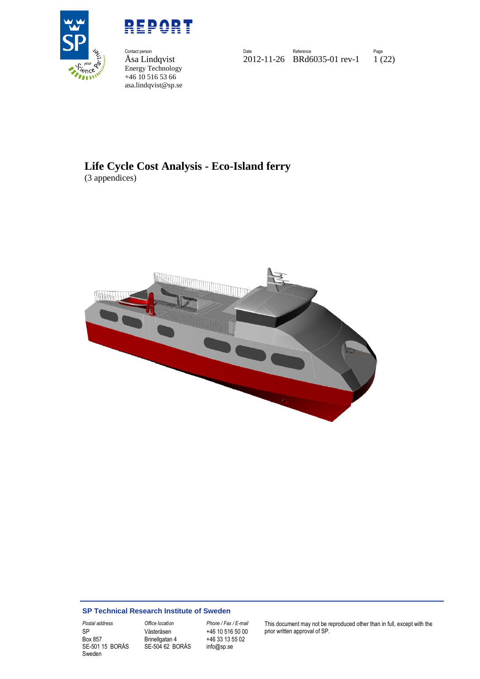



Energy Technology +46 10 516 53 66 asa.lindqvist@sp.se

**Contact person**<br> **Contact person Page Reference** Page Reference Page Reference Page Reference Page Contact person Page<br>  $\text{Åsa Lindqvist}$  2012-11-26 BRd6035-01 rev-1 1 (22)

## **Life Cycle Cost Analysis - Eco-Island ferry** (3 appendices)



#### **SP Technical Research Institute of Sweden**

Box 857 SE-501 15 BORÅS Sweden

Västeråsen Brinellgatan 4 SE-504 62 BORÅS

+46 10 516 50 00 +46 33 13 55 02 info@sp.se

*Postal address Office location Phone / Fax / E-mail* This document may not be reproduced other than in full, except with the prior written approval of SP.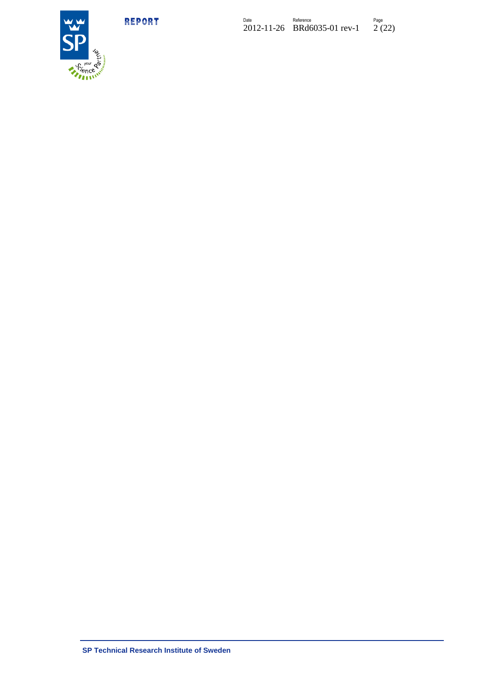

Date Reference Page 2012-11-26 BRd6035-01 rev-1 2 (22)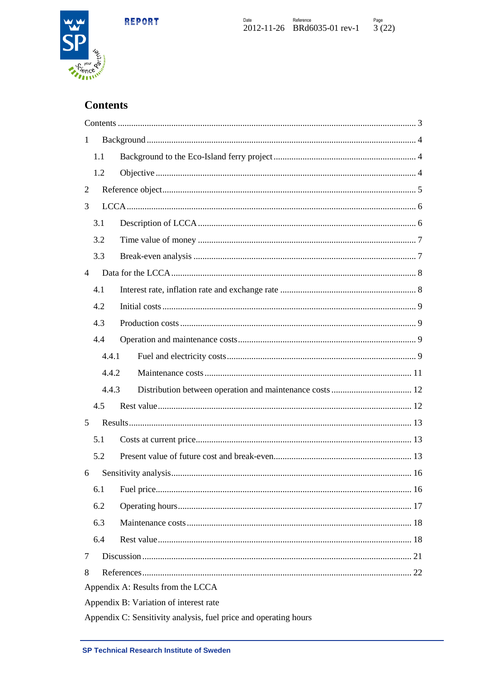

# **Contents**

| 1              |                                                                  |
|----------------|------------------------------------------------------------------|
| 1.1            |                                                                  |
| 1.2            |                                                                  |
| 2              |                                                                  |
| 3              |                                                                  |
| 3.1            |                                                                  |
| 3.2            |                                                                  |
| 3.3            |                                                                  |
| $\overline{4}$ |                                                                  |
| 4.1            |                                                                  |
| 4.2            |                                                                  |
| 4.3            |                                                                  |
| 4.4            |                                                                  |
| 4.4.1          |                                                                  |
|                | 4.4.2                                                            |
|                | 4.4.3                                                            |
| 4.5            |                                                                  |
| 5              |                                                                  |
| 5.1            |                                                                  |
| 5.2            |                                                                  |
| 6              |                                                                  |
| 6.1            |                                                                  |
| 6.2            |                                                                  |
| 6.3            |                                                                  |
| 6.4            |                                                                  |
| 7              |                                                                  |
| 8              |                                                                  |
|                | Appendix A: Results from the LCCA                                |
|                | Appendix B: Variation of interest rate                           |
|                | Appendix C: Sensitivity analysis, fuel price and operating hours |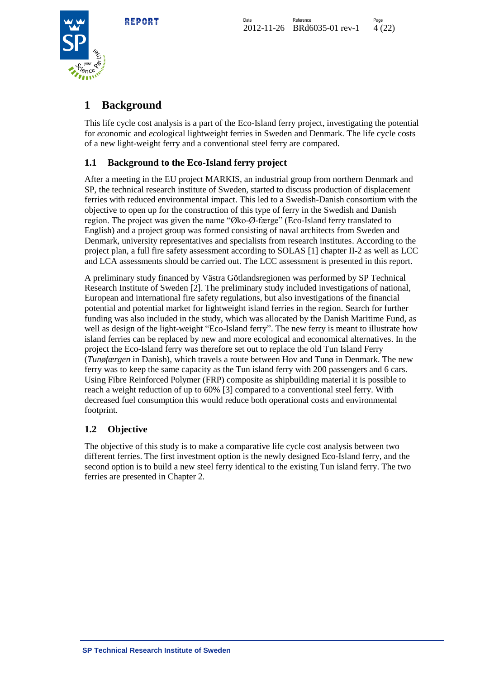

## **1 Background**

This life cycle cost analysis is a part of the Eco-Island ferry project, investigating the potential for *eco*nomic and *eco*logical lightweight ferries in Sweden and Denmark. The life cycle costs of a new light-weight ferry and a conventional steel ferry are compared.

## **1.1 Background to the Eco-Island ferry project**

After a meeting in the EU project MARKIS, an industrial group from northern Denmark and SP, the technical research institute of Sweden, started to discuss production of displacement ferries with reduced environmental impact. This led to a Swedish-Danish consortium with the objective to open up for the construction of this type of ferry in the Swedish and Danish region. The project was given the name "Øko-Ø-færge" (Eco-Island ferry translated to English) and a project group was formed consisting of naval architects from Sweden and Denmark, university representatives and specialists from research institutes. According to the project plan, a full fire safety assessment according to SOLAS [1] chapter II-2 as well as LCC and LCA assessments should be carried out. The LCC assessment is presented in this report.

A preliminary study financed by Västra Götlandsregionen was performed by SP Technical Research Institute of Sweden [2]. The preliminary study included investigations of national, European and international fire safety regulations, but also investigations of the financial potential and potential market for lightweight island ferries in the region. Search for further funding was also included in the study, which was allocated by the Danish Maritime Fund, as well as design of the light-weight "Eco-Island ferry". The new ferry is meant to illustrate how island ferries can be replaced by new and more ecological and economical alternatives. In the project the Eco-Island ferry was therefore set out to replace the old Tun Island Ferry (*Tunøfærgen* in Danish), which travels a route between Hov and Tunø in Denmark. The new ferry was to keep the same capacity as the Tun island ferry with 200 passengers and 6 cars. Using Fibre Reinforced Polymer (FRP) composite as shipbuilding material it is possible to reach a weight reduction of up to 60% [3] compared to a conventional steel ferry. With decreased fuel consumption this would reduce both operational costs and environmental footprint.

## **1.2 Objective**

The objective of this study is to make a comparative life cycle cost analysis between two different ferries. The first investment option is the newly designed Eco-Island ferry, and the second option is to build a new steel ferry identical to the existing Tun island ferry. The two ferries are presented in Chapter [2.](#page-4-0)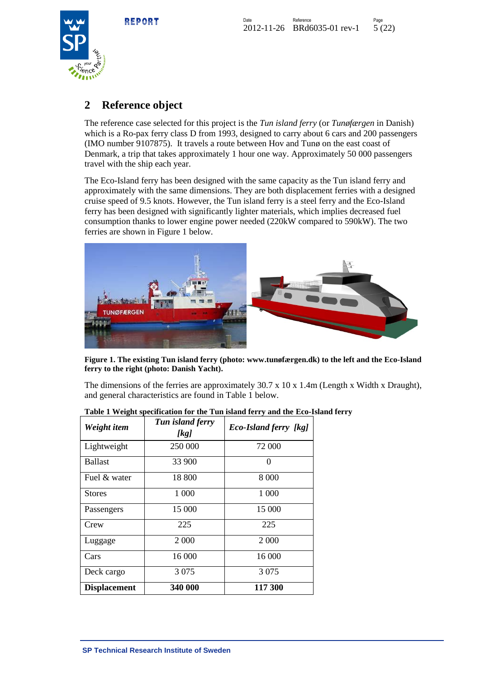



## <span id="page-4-0"></span>**2 Reference object**

The reference case selected for this project is the *Tun island ferry* (or *Tunøfærgen* in Danish) which is a Ro-pax ferry class D from 1993, designed to carry about 6 cars and 200 passengers (IMO number 9107875). It travels a route between Hov and Tunø on the east coast of Denmark, a trip that takes approximately 1 hour one way. Approximately 50 000 passengers travel with the ship each year.

The Eco-Island ferry has been designed with the same capacity as the Tun island ferry and approximately with the same dimensions. They are both displacement ferries with a designed cruise speed of 9.5 knots. However, the Tun island ferry is a steel ferry and the Eco-Island ferry has been designed with significantly lighter materials, which implies decreased fuel consumption thanks to lower engine power needed (220kW compared to 590kW). The two ferries are shown in [Figure 1](#page-4-1) below.



**Figure 1. The existing Tun island ferry (photo: www.tunøfærgen.dk) to the left and the Eco-Island ferry to the right (photo: Danish Yacht).**

<span id="page-4-1"></span>The dimensions of the ferries are approximately 30.7 x 10 x 1.4m (Length x Width x Draught), and general characteristics are found in [Table 1](#page-4-2) below.

| Weight item         | Tun island ferry<br>[kg] | Eco-Island ferry [kg] |
|---------------------|--------------------------|-----------------------|
| Lightweight         | 250 000                  | 72 000                |
| <b>Ballast</b>      | 33 900                   | $\Omega$              |
| Fuel & water        | 18 800                   | 8 0 0 0               |
| <b>Stores</b>       | 1 000                    | 1 000                 |
| Passengers          | 15 000                   | 15 000                |
| Crew                | 225                      | 225                   |
| Luggage             | 2 0 0 0                  | 2 0 0 0               |
| Cars                | 16 000                   | 16 000                |
| Deck cargo          | 3 0 7 5                  | 3 0 7 5               |
| <b>Displacement</b> | 340 000                  | 117 300               |

## <span id="page-4-2"></span>**Table 1 Weight specification for the Tun island ferry and the Eco-Island ferry**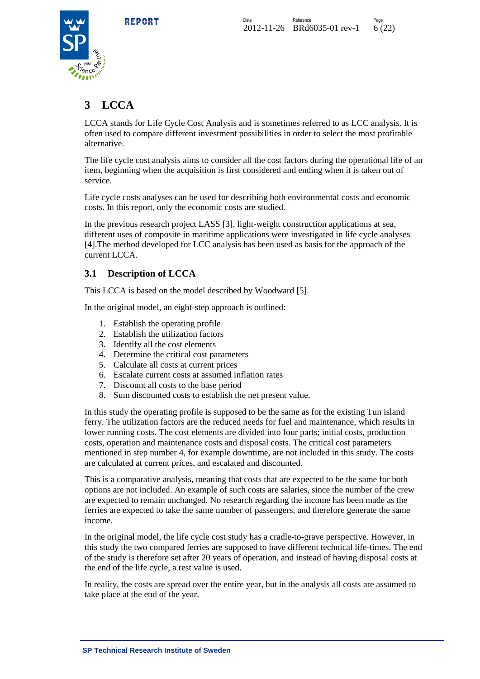

# **3 LCCA**

LCCA stands for Life Cycle Cost Analysis and is sometimes referred to as LCC analysis. It is often used to compare different investment possibilities in order to select the most profitable alternative.

The life cycle cost analysis aims to consider all the cost factors during the operational life of an item, beginning when the acquisition is first considered and ending when it is taken out of service.

Life cycle costs analyses can be used for describing both environmental costs and economic costs. In this report, only the economic costs are studied.

In the previous research project LASS [3], light-weight construction applications at sea, different uses of composite in maritime applications were investigated in life cycle analyses [4].The method developed for LCC analysis has been used as basis for the approach of the current LCCA.

## <span id="page-5-0"></span>**3.1 Description of LCCA**

This LCCA is based on the model described by Woodward [5].

In the original model, an eight-step approach is outlined:

- 1. Establish the operating profile
- 2. Establish the utilization factors
- 3. Identify all the cost elements
- 4. Determine the critical cost parameters
- 5. Calculate all costs at current prices
- 6. Escalate current costs at assumed inflation rates
- 7. Discount all costs to the base period
- 8. Sum discounted costs to establish the net present value.

In this study the operating profile is supposed to be the same as for the existing Tun island ferry. The utilization factors are the reduced needs for fuel and maintenance, which results in lower running costs. The cost elements are divided into four parts; initial costs, production costs, operation and maintenance costs and disposal costs. The critical cost parameters mentioned in step number 4, for example downtime, are not included in this study. The costs are calculated at current prices, and escalated and discounted.

This is a comparative analysis, meaning that costs that are expected to be the same for both options are not included. An example of such costs are salaries, since the number of the crew are expected to remain unchanged. No research regarding the income has been made as the ferries are expected to take the same number of passengers, and therefore generate the same income.

In the original model, the life cycle cost study has a cradle-to-grave perspective. However, in this study the two compared ferries are supposed to have different technical life-times. The end of the study is therefore set after 20 years of operation, and instead of having disposal costs at the end of the life cycle, a rest value is used.

In reality, the costs are spread over the entire year, but in the analysis all costs are assumed to take place at the end of the year.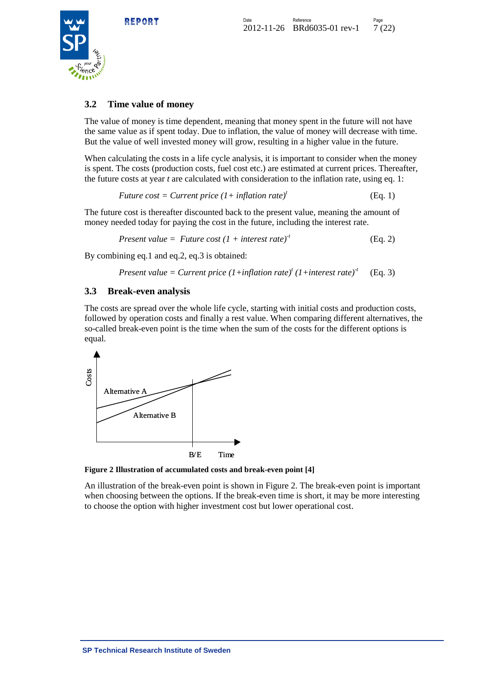

## <span id="page-6-1"></span>**3.2 Time value of money**

The value of money is time dependent, meaning that money spent in the future will not have the same value as if spent today. Due to inflation, the value of money will decrease with time. But the value of well invested money will grow, resulting in a higher value in the future.

When calculating the costs in a life cycle analysis, it is important to consider when the money is spent. The costs (production costs, fuel cost etc.) are estimated at current prices. Thereafter, the future costs at year *t* are calculated with consideration to the inflation rate, using eq. 1:

*Future cost* = *Current price* 
$$
(1 + inflation rate)^t
$$
 (Eq. 1)

The future cost is thereafter discounted back to the present value, meaning the amount of money needed today for paying the cost in the future, including the interest rate.

$$
Present value = Future cost (1 + interest rate)t
$$
 (Eq. 2)

By combining eq.1 and eq.2, eq.3 is obtained:

*Present value = Current price*  $(1+inflation \ rate)^t (1+interest \ rate)^t$ (Eq. 3)

### **3.3 Break-even analysis**

The costs are spread over the whole life cycle, starting with initial costs and production costs, followed by operation costs and finally a rest value. When comparing different alternatives, the so-called break-even point is the time when the sum of the costs for the different options is equal.



<span id="page-6-0"></span>**Figure 2 Illustration of accumulated costs and break-even point [4]**

An illustration of the break-even point is shown in [Figure 2.](#page-6-0) The break-even point is important when choosing between the options. If the break-even time is short, it may be more interesting to choose the option with higher investment cost but lower operational cost.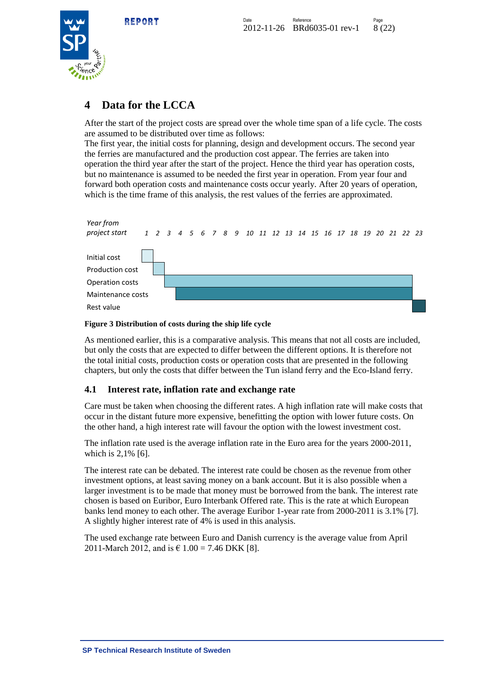

# **4 Data for the LCCA**

After the start of the project costs are spread over the whole time span of a life cycle. The costs are assumed to be distributed over time as follows:

The first year, the initial costs for planning, design and development occurs. The second year the ferries are manufactured and the production cost appear. The ferries are taken into operation the third year after the start of the project. Hence the third year has operation costs, but no maintenance is assumed to be needed the first year in operation. From year four and forward both operation costs and maintenance costs occur yearly. After 20 years of operation, which is the time frame of this analysis, the rest values of the ferries are approximated.



#### **Figure 3 Distribution of costs during the ship life cycle**

As mentioned earlier, this is a comparative analysis. This means that not all costs are included, but only the costs that are expected to differ between the different options. It is therefore not the total initial costs, production costs or operation costs that are presented in the following chapters, but only the costs that differ between the Tun island ferry and the Eco-Island ferry.

## **4.1 Interest rate, inflation rate and exchange rate**

Care must be taken when choosing the different rates. A high inflation rate will make costs that occur in the distant future more expensive, benefitting the option with lower future costs. On the other hand, a high interest rate will favour the option with the lowest investment cost.

The inflation rate used is the average inflation rate in the Euro area for the years 2000-2011, which is 2,1% [6].

The interest rate can be debated. The interest rate could be chosen as the revenue from other investment options, at least saving money on a bank account. But it is also possible when a larger investment is to be made that money must be borrowed from the bank. The interest rate chosen is based on Euribor, Euro Interbank Offered rate. This is the rate at which European banks lend money to each other. The average Euribor 1-year rate from 2000-2011 is 3.1% [7]. A slightly higher interest rate of 4% is used in this analysis.

The used exchange rate between Euro and Danish currency is the average value from April 2011-March 2012, and is  $\epsilon$  1.00 = 7.46 DKK [8].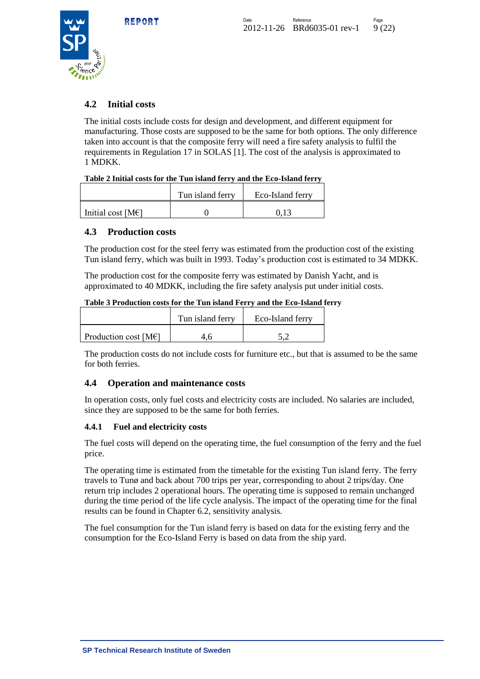



## **4.2 Initial costs**

The initial costs include costs for design and development, and different equipment for manufacturing. Those costs are supposed to be the same for both options. The only difference taken into account is that the composite ferry will need a fire safety analysis to fulfil the requirements in Regulation 17 in SOLAS [1]. The cost of the analysis is approximated to 1 MDKK.

|  | Table 2 Initial costs for the Tun island ferry and the Eco-Island ferry |
|--|-------------------------------------------------------------------------|
|  |                                                                         |

|                              | Tun island ferry | Eco-Island ferry |  |
|------------------------------|------------------|------------------|--|
| Initial cost [ $M\epsilon$ ] |                  |                  |  |

### **4.3 Production costs**

The production cost for the steel ferry was estimated from the production cost of the existing Tun island ferry, which was built in 1993. Today's production cost is estimated to 34 MDKK.

The production cost for the composite ferry was estimated by Danish Yacht, and is approximated to 40 MDKK, including the fire safety analysis put under initial costs.

### **Table 3 Production costs for the Tun island Ferry and the Eco-Island ferry**

|                             | Tun island ferry | Eco-Island ferry |
|-----------------------------|------------------|------------------|
| Production cost [ $M \in$ ] |                  |                  |

The production costs do not include costs for furniture etc., but that is assumed to be the same for both ferries.

### **4.4 Operation and maintenance costs**

In operation costs, only fuel costs and electricity costs are included. No salaries are included, since they are supposed to be the same for both ferries.

### **4.4.1 Fuel and electricity costs**

The fuel costs will depend on the operating time, the fuel consumption of the ferry and the fuel price.

The operating time is estimated from the timetable for the existing Tun island ferry. The ferry travels to Tunø and back about 700 trips per year, corresponding to about 2 trips/day. One return trip includes 2 operational hours. The operating time is supposed to remain unchanged during the time period of the life cycle analysis. The impact of the operating time for the final results can be found in Chapter [6.2,](#page-16-0) sensitivity analysis.

The fuel consumption for the Tun island ferry is based on data for the existing ferry and the consumption for the Eco-Island Ferry is based on data from the ship yard.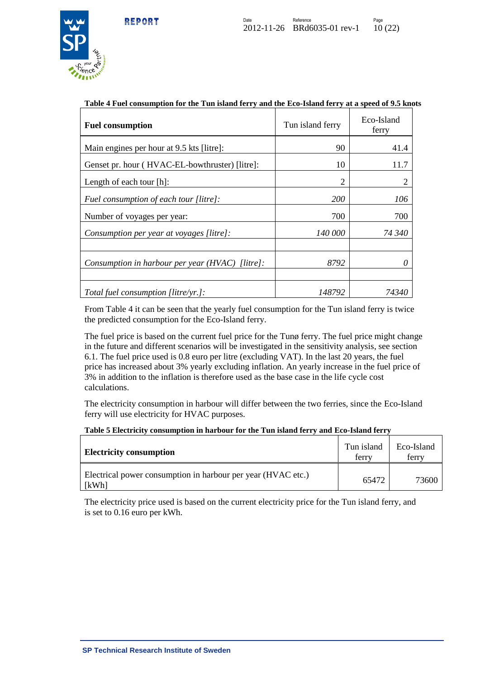

| rabic + raci consumption for the run island ferry and the Leo Tsland ferry at a speed of 210 km<br><b>Fuel consumption</b> | Tun island ferry | Eco-Island<br>ferry |
|----------------------------------------------------------------------------------------------------------------------------|------------------|---------------------|
| Main engines per hour at 9.5 kts [litre]:                                                                                  | 90               | 41.4                |
| Genset pr. hour (HVAC-EL-bowthruster) [litre]:                                                                             | 10               | 11.7                |
| Length of each tour $[h]$ :                                                                                                | 2                | $\overline{2}$      |
| Fuel consumption of each tour [litre]:                                                                                     | <i>200</i>       | 106                 |
| Number of voyages per year:                                                                                                | 700              | 700                 |
| Consumption per year at voyages [litre]:                                                                                   | <i>140 000</i>   | 74 340              |
| Consumption in harbour per year (HVAC) [litre]:                                                                            | 8792             | 0                   |
| Total fuel consumption $[litre/yr.]$ :                                                                                     | 148792           | 74340               |

### <span id="page-9-0"></span>**Table 4 Fuel consumption for the Tun island ferry and the Eco-Island ferry at a speed of 9.5 knots**

From [Table 4](#page-9-0) it can be seen that the yearly fuel consumption for the Tun island ferry is twice the predicted consumption for the Eco-Island ferry.

The fuel price is based on the current fuel price for the Tunø ferry. The fuel price might change in the future and different scenarios will be investigated in the sensitivity analysis, see section [6.1.](#page-15-0) The fuel price used is 0.8 euro per litre (excluding VAT). In the last 20 years, the fuel price has increased about 3% yearly excluding inflation. An yearly increase in the fuel price of 3% in addition to the inflation is therefore used as the base case in the life cycle cost calculations.

The electricity consumption in harbour will differ between the two ferries, since the Eco-Island ferry will use electricity for HVAC purposes.

#### **Table 5 Electricity consumption in harbour for the Tun island ferry and Eco-Island ferry**

| <b>Electricity consumption</b>                                        | Tun island<br>terry | Eco-Island<br>terry |
|-----------------------------------------------------------------------|---------------------|---------------------|
| Electrical power consumption in harbour per year (HVAC etc.)<br>[kWh] | 65472               | 73600               |

The electricity price used is based on the current electricity price for the Tun island ferry, and is set to 0.16 euro per kWh.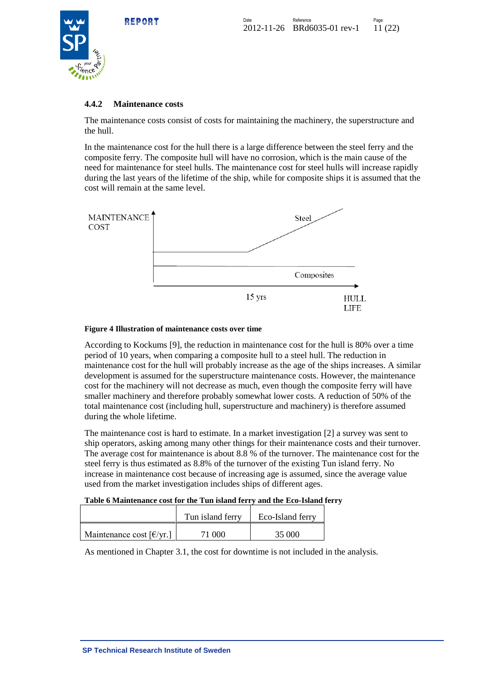

### **4.4.2 Maintenance costs**

The maintenance costs consist of costs for maintaining the machinery, the superstructure and the hull.

In the maintenance cost for the hull there is a large difference between the steel ferry and the composite ferry. The composite hull will have no corrosion, which is the main cause of the need for maintenance for steel hulls. The maintenance cost for steel hulls will increase rapidly during the last years of the lifetime of the ship, while for composite ships it is assumed that the cost will remain at the same level.



### **Figure 4 Illustration of maintenance costs over time**

According to Kockums [9], the reduction in maintenance cost for the hull is 80% over a time period of 10 years, when comparing a composite hull to a steel hull. The reduction in maintenance cost for the hull will probably increase as the age of the ships increases. A similar development is assumed for the superstructure maintenance costs. However, the maintenance cost for the machinery will not decrease as much, even though the composite ferry will have smaller machinery and therefore probably somewhat lower costs. A reduction of 50% of the total maintenance cost (including hull, superstructure and machinery) is therefore assumed during the whole lifetime.

The maintenance cost is hard to estimate. In a market investigation [2] a survey was sent to ship operators, asking among many other things for their maintenance costs and their turnover. The average cost for maintenance is about 8.8 % of the turnover. The maintenance cost for the steel ferry is thus estimated as 8.8% of the turnover of the existing Tun island ferry. No increase in maintenance cost because of increasing age is assumed, since the average value used from the market investigation includes ships of different ages.

|  | Table 6 Maintenance cost for the Tun island ferry and the Eco-Island ferry |  |
|--|----------------------------------------------------------------------------|--|
|  |                                                                            |  |

|                                                      | Tun island ferry | Eco-Island ferry |
|------------------------------------------------------|------------------|------------------|
| Maintenance cost $\lceil \frac{\epsilon}{vr} \rceil$ | 71 000           | 35 000           |

As mentioned in Chapter [3.1,](#page-5-0) the cost for downtime is not included in the analysis.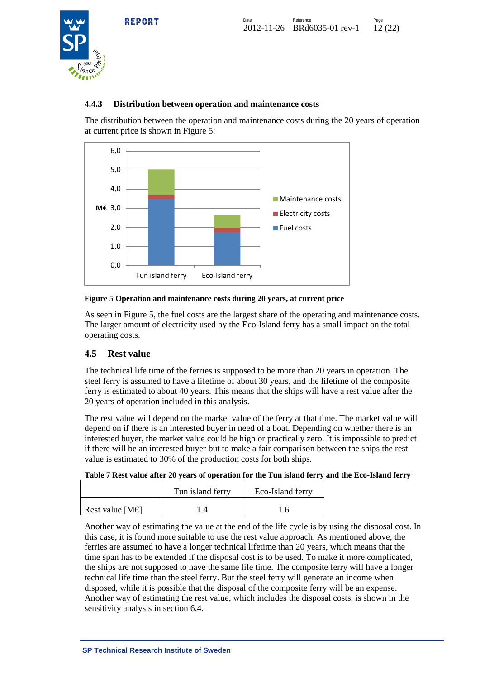

### **4.4.3 Distribution between operation and maintenance costs**

The distribution between the operation and maintenance costs during the 20 years of operation at current price is shown in [Figure 5:](#page-11-0)



#### <span id="page-11-0"></span>**Figure 5 Operation and maintenance costs during 20 years, at current price**

As seen in [Figure 5,](#page-11-0) the fuel costs are the largest share of the operating and maintenance costs. The larger amount of electricity used by the Eco-Island ferry has a small impact on the total operating costs.

## **4.5 Rest value**

The technical life time of the ferries is supposed to be more than 20 years in operation. The steel ferry is assumed to have a lifetime of about 30 years, and the lifetime of the composite ferry is estimated to about 40 years. This means that the ships will have a rest value after the 20 years of operation included in this analysis.

The rest value will depend on the market value of the ferry at that time. The market value will depend on if there is an interested buyer in need of a boat. Depending on whether there is an interested buyer, the market value could be high or practically zero. It is impossible to predict if there will be an interested buyer but to make a fair comparison between the ships the rest value is estimated to 30% of the production costs for both ships.

|  |  |  |  | Table 7 Rest value after 20 years of operation for the Tun island ferry and the Eco-Island ferry |  |
|--|--|--|--|--------------------------------------------------------------------------------------------------|--|
|  |  |  |  |                                                                                                  |  |

|                            | Tun island ferry | Eco-Island ferry |  |
|----------------------------|------------------|------------------|--|
| Rest value [M $\epsilon$ ] |                  |                  |  |

Another way of estimating the value at the end of the life cycle is by using the disposal cost. In this case, it is found more suitable to use the rest value approach. As mentioned above, the ferries are assumed to have a longer technical lifetime than 20 years, which means that the time span has to be extended if the disposal cost is to be used. To make it more complicated, the ships are not supposed to have the same life time. The composite ferry will have a longer technical life time than the steel ferry. But the steel ferry will generate an income when disposed, while it is possible that the disposal of the composite ferry will be an expense. Another way of estimating the rest value, which includes the disposal costs, is shown in the sensitivity analysis in section 6.4.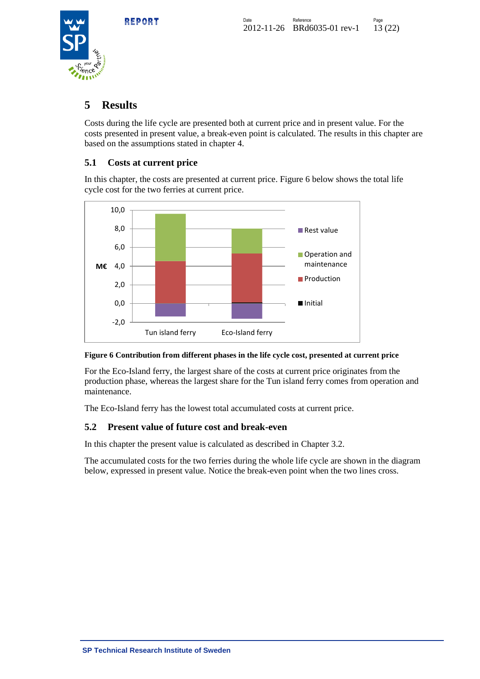



## **5 Results**

Costs during the life cycle are presented both at current price and in present value. For the costs presented in present value, a break-even point is calculated. The results in this chapter are based on the assumptions stated in chapter 4.

## **5.1 Costs at current price**

In this chapter, the costs are presented at current price. [Figure 6](#page-12-0) below shows the total life cycle cost for the two ferries at current price.



### <span id="page-12-0"></span>**Figure 6 Contribution from different phases in the life cycle cost, presented at current price**

For the Eco-Island ferry, the largest share of the costs at current price originates from the production phase, whereas the largest share for the Tun island ferry comes from operation and maintenance.

The Eco-Island ferry has the lowest total accumulated costs at current price.

## **5.2 Present value of future cost and break-even**

In this chapter the present value is calculated as described in Chapter [3.2.](#page-6-1)

The accumulated costs for the two ferries during the whole life cycle are shown in the diagram below, expressed in present value. Notice the break-even point when the two lines cross.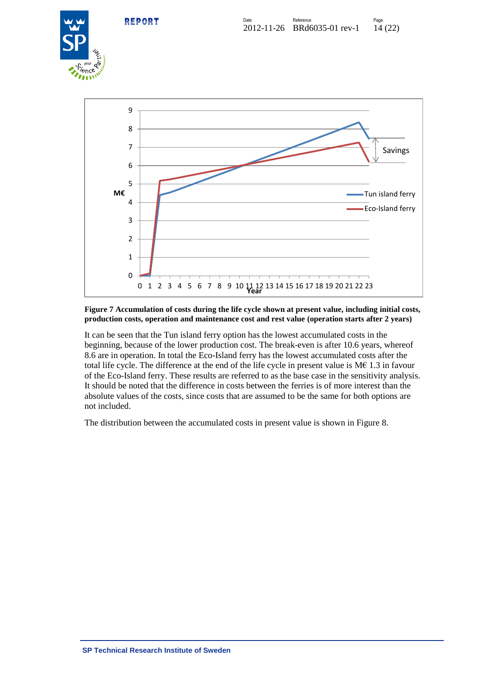

<span id="page-13-0"></span>**Figure 7 Accumulation of costs during the life cycle shown at present value, including initial costs, production costs, operation and maintenance cost and rest value (operation starts after 2 years)**

It can be seen that the Tun island ferry option has the lowest accumulated costs in the beginning, because of the lower production cost. The break-even is after 10.6 years, whereof 8.6 are in operation. In total the Eco-Island ferry has the lowest accumulated costs after the total life cycle. The difference at the end of the life cycle in present value is M€ 1.3 in favour of the Eco-Island ferry. These results are referred to as the base case in the sensitivity analysis. It should be noted that the difference in costs between the ferries is of more interest than the absolute values of the costs, since costs that are assumed to be the same for both options are not included.

The distribution between the accumulated costs in present value is shown in [Figure 8.](#page-14-0)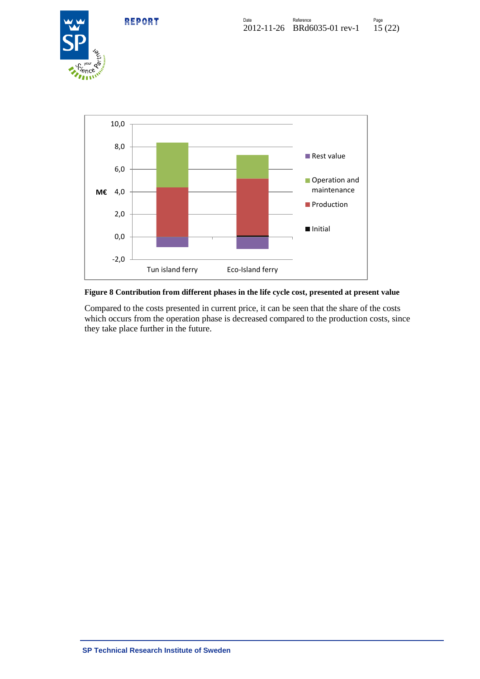



#### <span id="page-14-0"></span>**Figure 8 Contribution from different phases in the life cycle cost, presented at present value**

Compared to the costs presented in current price, it can be seen that the share of the costs which occurs from the operation phase is decreased compared to the production costs, since they take place further in the future.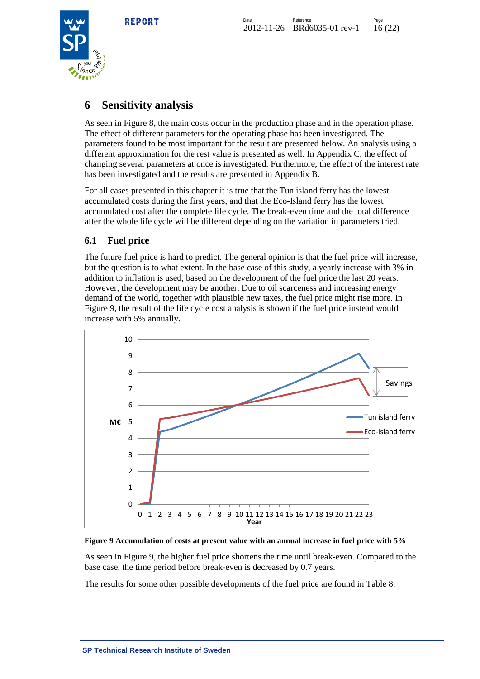

## **6 Sensitivity analysis**

As seen in [Figure 8,](#page-14-0) the main costs occur in the production phase and in the operation phase. The effect of different parameters for the operating phase has been investigated. The parameters found to be most important for the result are presented below. An analysis using a different approximation for the rest value is presented as well. In Appendix C, the effect of changing several parameters at once is investigated. Furthermore, the effect of the interest rate has been investigated and the results are presented in Appendix B.

For all cases presented in this chapter it is true that the Tun island ferry has the lowest accumulated costs during the first years, and that the Eco-Island ferry has the lowest accumulated cost after the complete life cycle. The break-even time and the total difference after the whole life cycle will be different depending on the variation in parameters tried.

## <span id="page-15-0"></span>**6.1 Fuel price**

The future fuel price is hard to predict. The general opinion is that the fuel price will increase, but the question is to what extent. In the base case of this study, a yearly increase with 3% in addition to inflation is used, based on the development of the fuel price the last 20 years. However, the development may be another. Due to oil scarceness and increasing energy demand of the world, together with plausible new taxes, the fuel price might rise more. In [Figure 9,](#page-15-1) the result of the life cycle cost analysis is shown if the fuel price instead would increase with 5% annually.



<span id="page-15-1"></span>

As seen in [Figure 9,](#page-15-1) the higher fuel price shortens the time until break-even. Compared to the base case, the time period before break-even is decreased by 0.7 years.

The results for some other possible developments of the fuel price are found in [Table 8.](#page-16-1)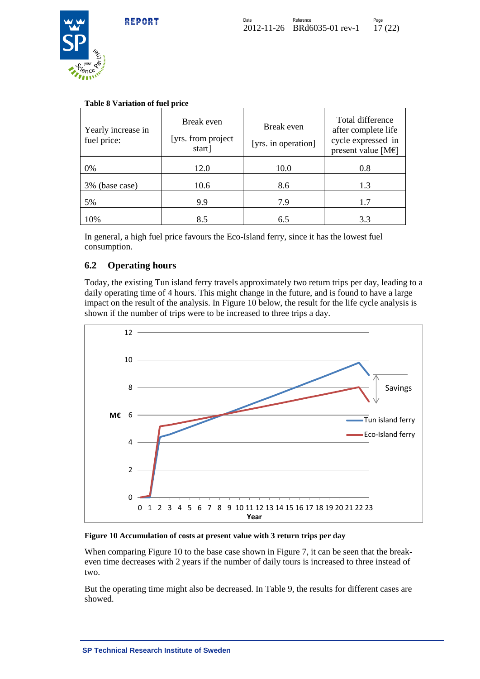

| Yearly increase in<br>fuel price: | Break even<br>[yrs. from project]<br>start] | Break even<br>[yrs. in operation] | Total difference<br>after complete life<br>cycle expressed in<br>present value [ $M \in$ ] |
|-----------------------------------|---------------------------------------------|-----------------------------------|--------------------------------------------------------------------------------------------|
| 0%                                | 12.0                                        | 10.0                              | 0.8                                                                                        |
| 3% (base case)                    | 10.6                                        | 8.6                               | 1.3                                                                                        |
| 5%                                | 9.9                                         | 7.9                               | 1.7                                                                                        |
| 10%                               | 8.5                                         | 6.5                               | 3.3                                                                                        |

### <span id="page-16-1"></span>**Table 8 Variation of fuel price**

In general, a high fuel price favours the Eco-Island ferry, since it has the lowest fuel consumption.

## <span id="page-16-0"></span>**6.2 Operating hours**

Today, the existing Tun island ferry travels approximately two return trips per day, leading to a daily operating time of 4 hours. This might change in the future, and is found to have a large impact on the result of the analysis. In [Figure 10](#page-16-2) below, the result for the life cycle analysis is shown if the number of trips were to be increased to three trips a day.



#### <span id="page-16-2"></span>**Figure 10 Accumulation of costs at present value with 3 return trips per day**

When comparin[g Figure 10](#page-16-2) to the base case shown in [Figure 7,](#page-13-0) it can be seen that the breakeven time decreases with 2 years if the number of daily tours is increased to three instead of two.

But the operating time might also be decreased. In [Table 9,](#page-17-0) the results for different cases are showed.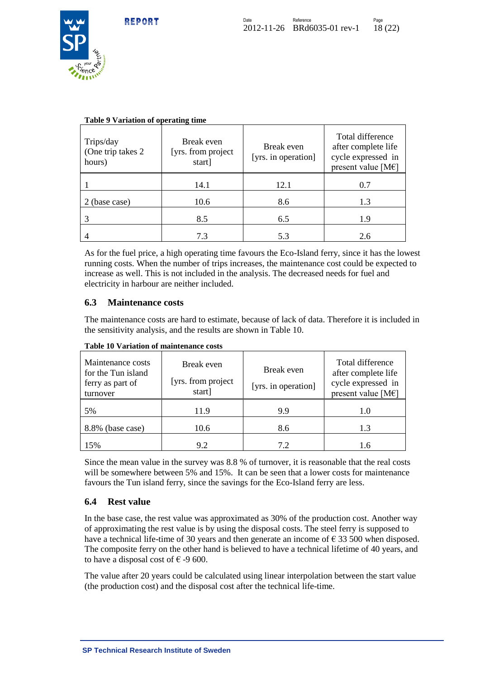

| Trips/day<br>(One trip takes 2)<br>hours) | Break even<br>[yrs. from project]<br>start] | Break even<br>[yrs. in operation] | Total difference<br>after complete life<br>cycle expressed in<br>present value [ $M \in$ ] |
|-------------------------------------------|---------------------------------------------|-----------------------------------|--------------------------------------------------------------------------------------------|
|                                           | 14.1                                        | 12.1                              | 0.7                                                                                        |
| 2 (base case)                             | 10.6                                        | 8.6                               | 1.3                                                                                        |
|                                           | 8.5                                         | 6.5                               | 1.9                                                                                        |
|                                           | 7.3                                         | 5.3                               | 2.6                                                                                        |

### <span id="page-17-0"></span>**Table 9 Variation of operating time**

As for the fuel price, a high operating time favours the Eco-Island ferry, since it has the lowest running costs. When the number of trips increases, the maintenance cost could be expected to increase as well. This is not included in the analysis. The decreased needs for fuel and electricity in harbour are neither included.

## **6.3 Maintenance costs**

The maintenance costs are hard to estimate, because of lack of data. Therefore it is included in the sensitivity analysis, and the results are shown in [Table 10.](#page-17-1)

| Maintenance costs<br>for the Tun island<br>ferry as part of<br>turnover | Break even<br>[yrs. from project]<br>start] | Break even<br>[yrs. in operation] | Total difference<br>after complete life<br>cycle expressed in<br>present value [M $\epsilon$ ] |
|-------------------------------------------------------------------------|---------------------------------------------|-----------------------------------|------------------------------------------------------------------------------------------------|
| 5%                                                                      | 11.9                                        | 9.9                               | 1.0                                                                                            |
| 8.8% (base case)                                                        | 10.6                                        | 8.6                               | 1.3                                                                                            |
| 15%                                                                     | 9.2                                         | 72                                |                                                                                                |

#### <span id="page-17-1"></span>**Table 10 Variation of maintenance costs**

Since the mean value in the survey was 8.8 % of turnover, it is reasonable that the real costs will be somewhere between 5% and 15%. It can be seen that a lower costs for maintenance favours the Tun island ferry, since the savings for the Eco-Island ferry are less.

### **6.4 Rest value**

In the base case, the rest value was approximated as 30% of the production cost. Another way of approximating the rest value is by using the disposal costs. The steel ferry is supposed to have a technical life-time of 30 years and then generate an income of  $\epsilon$  33 500 when disposed. The composite ferry on the other hand is believed to have a technical lifetime of 40 years, and to have a disposal cost of  $\epsilon$  -9 600.

The value after 20 years could be calculated using linear interpolation between the start value (the production cost) and the disposal cost after the technical life-time.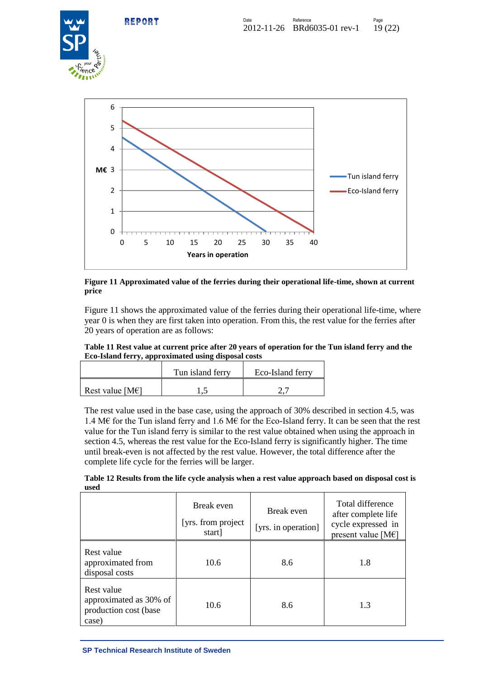

<span id="page-18-0"></span>**Figure 11 Approximated value of the ferries during their operational life-time, shown at current price**

[Figure 11](#page-18-0) shows the approximated value of the ferries during their operational life-time, where year 0 is when they are first taken into operation. From this, the rest value for the ferries after 20 years of operation are as follows:

**Table 11 Rest value at current price after 20 years of operation for the Tun island ferry and the Eco-Island ferry, approximated using disposal costs**

|                            | Tun island ferry | Eco-Island ferry |
|----------------------------|------------------|------------------|
| Rest value [M $\epsilon$ ] | ن. 1             |                  |

The rest value used in the base case, using the approach of 30% described in section 4.5, was 1.4 M€ for the Tun island ferry and 1.6 M€ for the Eco-Island ferry. It can be seen that the rest value for the Tun island ferry is similar to the rest value obtained when using the approach in section 4.5, whereas the rest value for the Eco-Island ferry is significantly higher. The time until break-even is not affected by the rest value. However, the total difference after the complete life cycle for the ferries will be larger.

**Table 12 Results from the life cycle analysis when a rest value approach based on disposal cost is used**

|                                                                         | Break even<br>[yrs. from project]<br>start] | Break even<br>[yrs. in operation] | Total difference<br>after complete life<br>cycle expressed in<br>present value [ $M \in$ ] |
|-------------------------------------------------------------------------|---------------------------------------------|-----------------------------------|--------------------------------------------------------------------------------------------|
| Rest value<br>approximated from<br>disposal costs                       | 10.6                                        | 8.6                               | 1.8                                                                                        |
| Rest value<br>approximated as 30% of<br>production cost (base)<br>case) | 10.6                                        | 8.6                               | 1.3                                                                                        |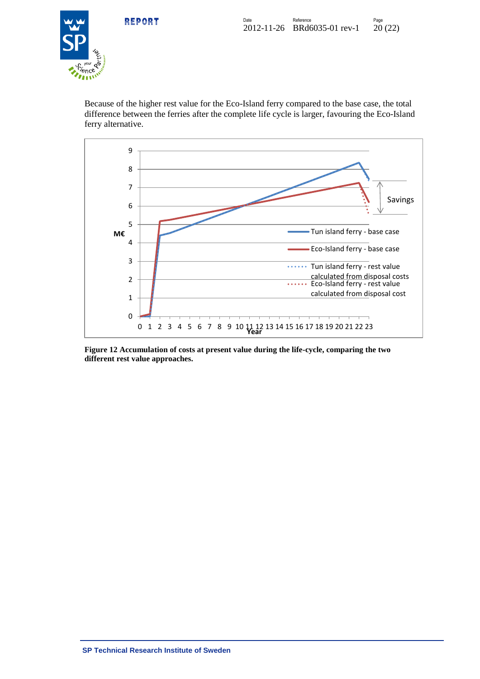Date Reference Reference  $P_{\text{age}}$ <br>2012-11-26  $BRd6035-01$   $rev-1$   $20(22)$ 2012-11-26 BRd6035-01 rev-1

REPORT



Because of the higher rest value for the Eco-Island ferry compared to the base case, the total difference between the ferries after the complete life cycle is larger, favouring the Eco-Island ferry alternative.



**Figure 12 Accumulation of costs at present value during the life-cycle, comparing the two different rest value approaches.**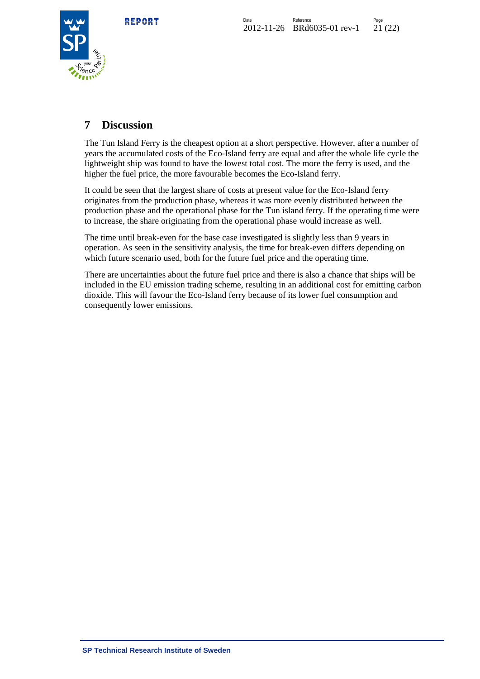



## **7 Discussion**

The Tun Island Ferry is the cheapest option at a short perspective. However, after a number of years the accumulated costs of the Eco-Island ferry are equal and after the whole life cycle the lightweight ship was found to have the lowest total cost. The more the ferry is used, and the higher the fuel price, the more favourable becomes the Eco-Island ferry.

It could be seen that the largest share of costs at present value for the Eco-Island ferry originates from the production phase, whereas it was more evenly distributed between the production phase and the operational phase for the Tun island ferry. If the operating time were to increase, the share originating from the operational phase would increase as well.

The time until break-even for the base case investigated is slightly less than 9 years in operation. As seen in the sensitivity analysis, the time for break-even differs depending on which future scenario used, both for the future fuel price and the operating time.

There are uncertainties about the future fuel price and there is also a chance that ships will be included in the EU emission trading scheme, resulting in an additional cost for emitting carbon dioxide. This will favour the Eco-Island ferry because of its lower fuel consumption and consequently lower emissions.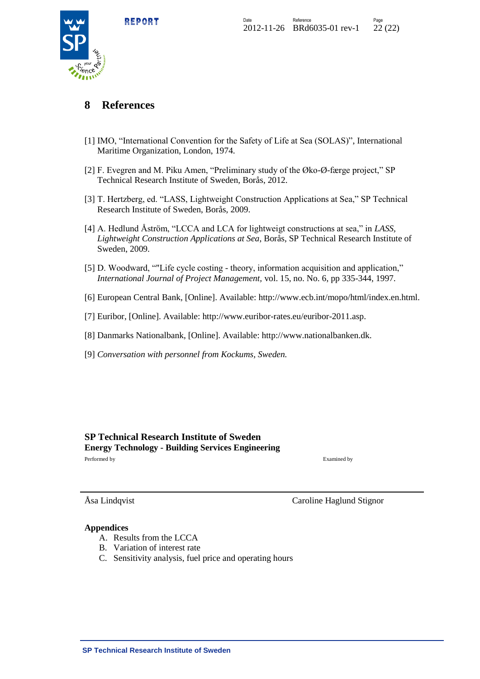

## **8 References**

- [1] IMO, "International Convention for the Safety of Life at Sea (SOLAS)", International Maritime Organization, London, 1974.
- [2] F. Evegren and M. Piku Amen, "Preliminary study of the Øko-Ø-færge project," SP Technical Research Institute of Sweden, Borås, 2012.
- [3] T. Hertzberg, ed. "LASS, Lightweight Construction Applications at Sea," SP Technical Research Institute of Sweden, Borås, 2009.
- [4] A. Hedlund Åström, "LCCA and LCA for lightweigt constructions at sea," in *LASS, Lightweight Construction Applications at Sea*, Borås, SP Technical Research Institute of Sweden, 2009.
- [5] D. Woodward, ""Life cycle costing theory, information acquisition and application," *International Journal of Project Management,* vol. 15, no. No. 6, pp 335-344, 1997.
- [6] European Central Bank, [Online]. Available: http://www.ecb.int/mopo/html/index.en.html.
- [7] Euribor, [Online]. Available: http://www.euribor-rates.eu/euribor-2011.asp.
- [8] Danmarks Nationalbank, [Online]. Available: http://www.nationalbanken.dk.
- [9] *Conversation with personnel from Kockums, Sweden.*

### **SP Technical Research Institute of Sweden Energy Technology - Building Services Engineering** Performed by Examined by Examined by Examined by Examined by Examined by Examined by Examined by Examined by Examined by Examined by Examined by Examined by Examined by Examined by Examined by Examined by Examined by Exami

 $\overline{1}$ Åsa Lindqvist Caroline Haglund Stignor

#### **Appendices**

- A. Results from the LCCA
- B. Variation of interest rate
- C. Sensitivity analysis, fuel price and operating hours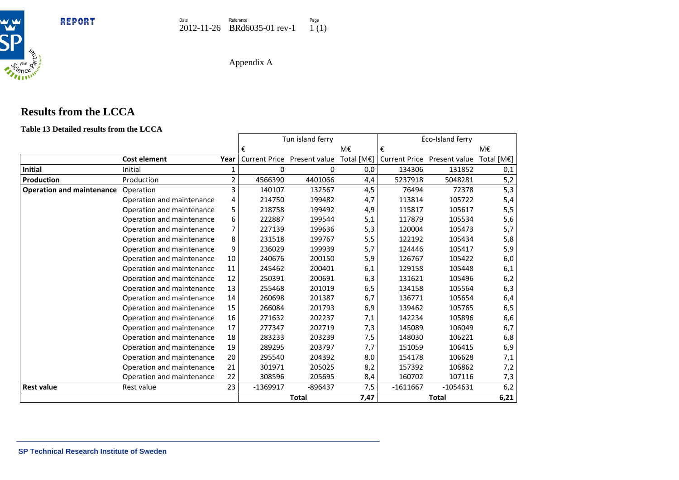w<br>SP

**CALCASSIC REPAIR** 

Appendix A

# **Results from the LCCA**

**Table 13 Detailed results from the LCCA**

|                                  |                           |                | Tun island ferry     |               | Eco-Island ferry |                      |               |            |
|----------------------------------|---------------------------|----------------|----------------------|---------------|------------------|----------------------|---------------|------------|
|                                  |                           |                | €                    |               | M€               | €                    |               | M€         |
|                                  | Cost element              | Year           | <b>Current Price</b> | Present value | Total [M€]       | <b>Current Price</b> | Present value | Total [M€] |
| Initial                          | Initial                   | 1              | 0                    | 0             | 0,0              | 134306               | 131852        | 0,1        |
| Production                       | Production                | $\overline{2}$ | 4566390              | 4401066       | 4,4              | 5237918              | 5048281       | 5,2        |
| <b>Operation and maintenance</b> | Operation                 | 3              | 140107               | 132567        | 4,5              | 76494                | 72378         | 5,3        |
|                                  | Operation and maintenance | 4              | 214750               | 199482        | 4,7              | 113814               | 105722        | 5,4        |
|                                  | Operation and maintenance | 5              | 218758               | 199492        | 4,9              | 115817               | 105617        | 5,5        |
|                                  | Operation and maintenance | 6              | 222887               | 199544        | 5,1              | 117879               | 105534        | 5,6        |
|                                  | Operation and maintenance | 7              | 227139               | 199636        | 5,3              | 120004               | 105473        | 5,7        |
|                                  | Operation and maintenance | 8              | 231518               | 199767        | 5,5              | 122192               | 105434        | 5,8        |
|                                  | Operation and maintenance | 9              | 236029               | 199939        | 5,7              | 124446               | 105417        | 5,9        |
|                                  | Operation and maintenance | 10             | 240676               | 200150        | 5,9              | 126767               | 105422        | 6,0        |
|                                  | Operation and maintenance | 11             | 245462               | 200401        | 6,1              | 129158               | 105448        | 6,1        |
|                                  | Operation and maintenance | 12             | 250391               | 200691        | 6,3              | 131621               | 105496        | 6,2        |
|                                  | Operation and maintenance | 13             | 255468               | 201019        | 6,5              | 134158               | 105564        | 6,3        |
|                                  | Operation and maintenance | 14             | 260698               | 201387        | 6,7              | 136771               | 105654        | 6,4        |
|                                  | Operation and maintenance | 15             | 266084               | 201793        | 6,9              | 139462               | 105765        | 6, 5       |
|                                  | Operation and maintenance | 16             | 271632               | 202237        | 7,1              | 142234               | 105896        | 6,6        |
|                                  | Operation and maintenance | 17             | 277347               | 202719        | 7,3              | 145089               | 106049        | 6,7        |
|                                  | Operation and maintenance | 18             | 283233               | 203239        | 7,5              | 148030               | 106221        | 6, 8       |
|                                  | Operation and maintenance | 19             | 289295               | 203797        | 7,7              | 151059               | 106415        | 6,9        |
|                                  | Operation and maintenance | 20             | 295540               | 204392        | 8,0              | 154178               | 106628        | 7,1        |
|                                  | Operation and maintenance | 21             | 301971               | 205025        | 8,2              | 157392               | 106862        | 7,2        |
|                                  | Operation and maintenance | 22             | 308596               | 205695        | 8,4              | 160702               | 107116        | 7,3        |
| <b>Rest value</b>                | Rest value                | 23             | $-1369917$           | -896437       | 7,5              | $-1611667$           | $-1054631$    | 6,2        |
|                                  |                           |                |                      | Total         | 7,47             |                      | <b>Total</b>  | 6,21       |

**SP Technical Research Institute of Sweden**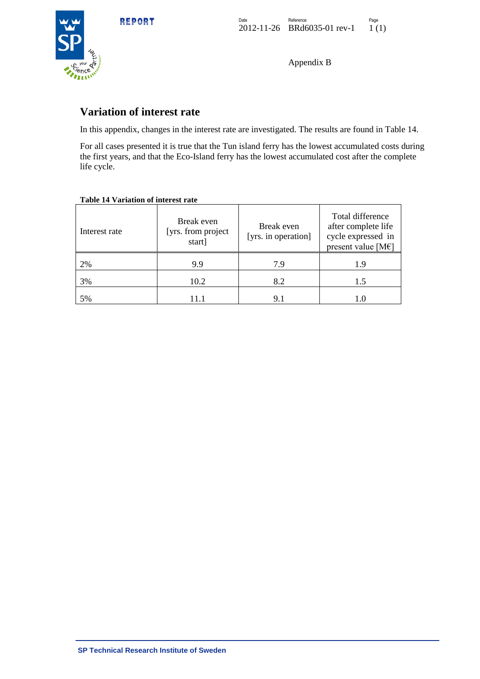

Appendix B

## **Variation of interest rate**

In this appendix, changes in the interest rate are investigated. The results are found i[n Table 14.](#page-23-0)

For all cases presented it is true that the Tun island ferry has the lowest accumulated costs during the first years, and that the Eco-Island ferry has the lowest accumulated cost after the complete life cycle.

| Interest rate | Break even<br>[yrs. from project]<br>start] | Break even<br>[yrs. in operation] | Total difference<br>after complete life<br>cycle expressed in<br>present value [ $M \in$ ] |  |
|---------------|---------------------------------------------|-----------------------------------|--------------------------------------------------------------------------------------------|--|
| 2%            | 9.9                                         | 7.9                               | 1.9                                                                                        |  |
| 3%            | 10.2                                        | 8.2                               | 1.5                                                                                        |  |
| 5%            | 11.1                                        | 9.1                               |                                                                                            |  |

#### <span id="page-23-0"></span>**Table 14 Variation of interest rate**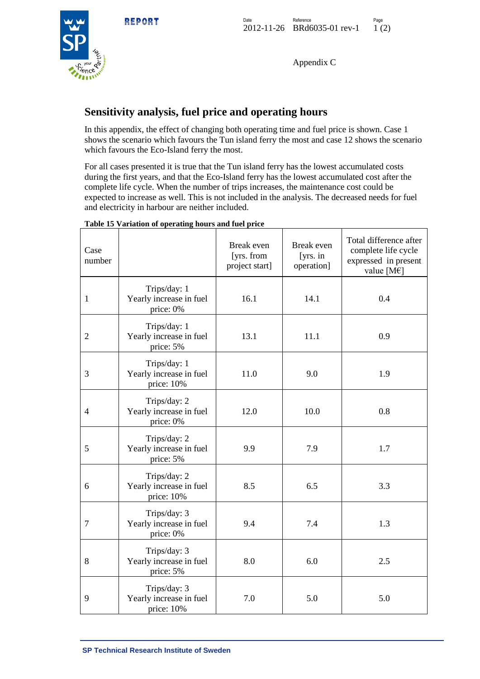



Appendix C

## **Sensitivity analysis, fuel price and operating hours**

In this appendix, the effect of changing both operating time and fuel price is shown. Case 1 shows the scenario which favours the Tun island ferry the most and case 12 shows the scenario which favours the Eco-Island ferry the most.

For all cases presented it is true that the Tun island ferry has the lowest accumulated costs during the first years, and that the Eco-Island ferry has the lowest accumulated cost after the complete life cycle. When the number of trips increases, the maintenance cost could be expected to increase as well. This is not included in the analysis. The decreased needs for fuel and electricity in harbour are neither included.

| Case<br>number |                                                       | Break even<br>[yrs. from<br>project start] | Break even<br>[ $yrs.$ in<br>operation] | Total difference after<br>complete life cycle<br>expressed in present<br>value [M€] |
|----------------|-------------------------------------------------------|--------------------------------------------|-----------------------------------------|-------------------------------------------------------------------------------------|
| $\mathbf{1}$   | Trips/day: 1<br>Yearly increase in fuel<br>price: 0%  | 16.1                                       | 14.1                                    | 0.4                                                                                 |
| $\overline{2}$ | Trips/day: 1<br>Yearly increase in fuel<br>price: 5%  | 13.1                                       | 11.1                                    | 0.9                                                                                 |
| 3              | Trips/day: 1<br>Yearly increase in fuel<br>price: 10% | 11.0                                       | 9.0                                     | 1.9                                                                                 |
| $\overline{4}$ | Trips/day: 2<br>Yearly increase in fuel<br>price: 0%  | 12.0                                       | 10.0                                    | 0.8                                                                                 |
| 5              | Trips/day: 2<br>Yearly increase in fuel<br>price: 5%  | 9.9                                        | 7.9                                     | 1.7                                                                                 |
| 6              | Trips/day: 2<br>Yearly increase in fuel<br>price: 10% | 8.5                                        | 6.5                                     | 3.3                                                                                 |
| $\tau$         | Trips/day: 3<br>Yearly increase in fuel<br>price: 0%  | 9.4                                        | 7.4                                     | 1.3                                                                                 |
| 8              | Trips/day: 3<br>Yearly increase in fuel<br>price: 5%  | 8.0                                        | 6.0                                     | 2.5                                                                                 |
| 9              | Trips/day: 3<br>Yearly increase in fuel<br>price: 10% | 7.0                                        | 5.0                                     | 5.0                                                                                 |

### **Table 15 Variation of operating hours and fuel price**